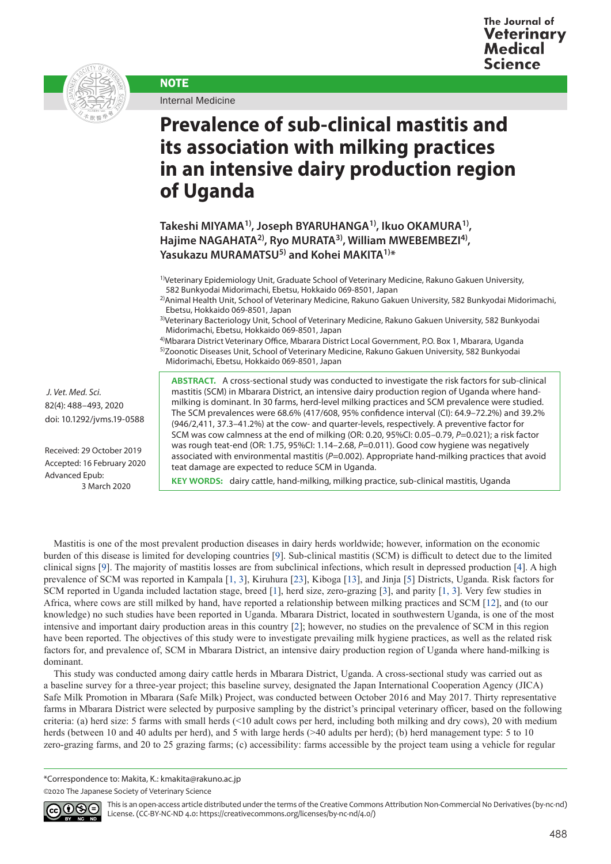

Internal Medicine

**NOTE** 

## **Prevalence of sub-clinical mastitis and its association with milking practices in an intensive dairy production region of Uganda**

**Takeshi MIYAMA1), Joseph BYARUHANGA1), Ikuo OKAMURA1), Hajime NAGAHATA2), Ryo MURATA3), William MWEBEMBEZI4), Yasukazu MURAMATSU5) and Kohei MAKITA1)\***

1)Veterinary Epidemiology Unit, Graduate School of Veterinary Medicine, Rakuno Gakuen University, 582 Bunkyodai Midorimachi, Ebetsu, Hokkaido 069-8501, Japan

2)Animal Health Unit, School of Veterinary Medicine, Rakuno Gakuen University, 582 Bunkyodai Midorimachi, Ebetsu, Hokkaido 069-8501, Japan

3)Veterinary Bacteriology Unit, School of Veterinary Medicine, Rakuno Gakuen University, 582 Bunkyodai Midorimachi, Ebetsu, Hokkaido 069-8501, Japan

4)Mbarara District Veterinary Office, Mbarara District Local Government, P.O. Box 1, Mbarara, Uganda 5)Zoonotic Diseases Unit, School of Veterinary Medicine, Rakuno Gakuen University, 582 Bunkyodai

Midorimachi, Ebetsu, Hokkaido 069-8501, Japan

**ABSTRACT.** A cross-sectional study was conducted to investigate the risk factors for sub-clinical mastitis (SCM) in Mbarara District, an intensive dairy production region of Uganda where handmilking is dominant. In 30 farms, herd-level milking practices and SCM prevalence were studied. The SCM prevalences were 68.6% (417/608, 95% confidence interval (CI): 64.9–72.2%) and 39.2% (946/2,411, 37.3–41.2%) at the cow- and quarter-levels, respectively. A preventive factor for SCM was cow calmness at the end of milking (OR: 0.20, 95%CI: 0.05–0.79, *P*=0.021); a risk factor was rough teat-end (OR: 1.75, 95%CI: 1.14–2.68, P=0.011). Good cow hygiene was negatively associated with environmental mastitis (P=0.002). Appropriate hand-milking practices that avoid teat damage are expected to reduce SCM in Uganda.

**KEY WORDS:** dairy cattle, hand-milking, milking practice, sub-clinical mastitis, Uganda

Mastitis is one of the most prevalent production diseases in dairy herds worldwide; however, information on the economic burden of this disease is limited for developing countries [\[9](#page-5-0)]. Sub-clinical mastitis (SCM) is difficult to detect due to the limited clinical signs [[9\]](#page-5-0). The majority of mastitis losses are from subclinical infections, which result in depressed production [\[4\]](#page-5-1). A high prevalence of SCM was reported in Kampala [[1, 3\]](#page-5-2), Kiruhura [\[23\]](#page-5-3), Kiboga [\[13\]](#page-5-4), and Jinja [\[5](#page-5-5)] Districts, Uganda. Risk factors for SCM reported in Uganda included lactation stage, breed [[1\]](#page-5-2), herd size, zero-grazing [[3\]](#page-5-6), and parity [[1, 3](#page-5-2)]. Very few studies in Africa, where cows are still milked by hand, have reported a relationship between milking practices and SCM [[12](#page-5-7)], and (to our knowledge) no such studies have been reported in Uganda. Mbarara District, located in southwestern Uganda, is one of the most intensive and important dairy production areas in this country [[2\]](#page-5-8); however, no studies on the prevalence of SCM in this region have been reported. The objectives of this study were to investigate prevailing milk hygiene practices, as well as the related risk factors for, and prevalence of, SCM in Mbarara District, an intensive dairy production region of Uganda where hand-milking is dominant.

This study was conducted among dairy cattle herds in Mbarara District, Uganda. A cross-sectional study was carried out as a baseline survey for a three-year project; this baseline survey, designated the Japan International Cooperation Agency (JICA) Safe Milk Promotion in Mbarara (Safe Milk) Project, was conducted between October 2016 and May 2017. Thirty representative farms in Mbarara District were selected by purposive sampling by the district's principal veterinary officer, based on the following criteria: (a) herd size: 5 farms with small herds (<10 adult cows per herd, including both milking and dry cows), 20 with medium herds (between 10 and 40 adults per herd), and 5 with large herds (>40 adults per herd); (b) herd management type: 5 to 10 zero-grazing farms, and 20 to 25 grazing farms; (c) accessibility: farms accessible by the project team using a vehicle for regular

<sup>©2020</sup> The Japanese Society of Veterinary Science



This is an open-access article distributed under the terms of the Creative Commons Attribution Non-Commercial No Derivatives (by-nc-nd) License. (CC-BY-NC-ND 4.0: <https://creativecommons.org/licenses/by-nc-nd/4.0/>)

Received: 29 October 2019 Accepted: 16 February 2020 doi: 10.1292/jvms.19-0588

3 March 2020

Advanced Epub:

 *J. Vet. Med. Sci.*  82(4): 488–493, 2020

<sup>\*</sup>Correspondence to: Makita, K.: kmakita@rakuno.ac.jp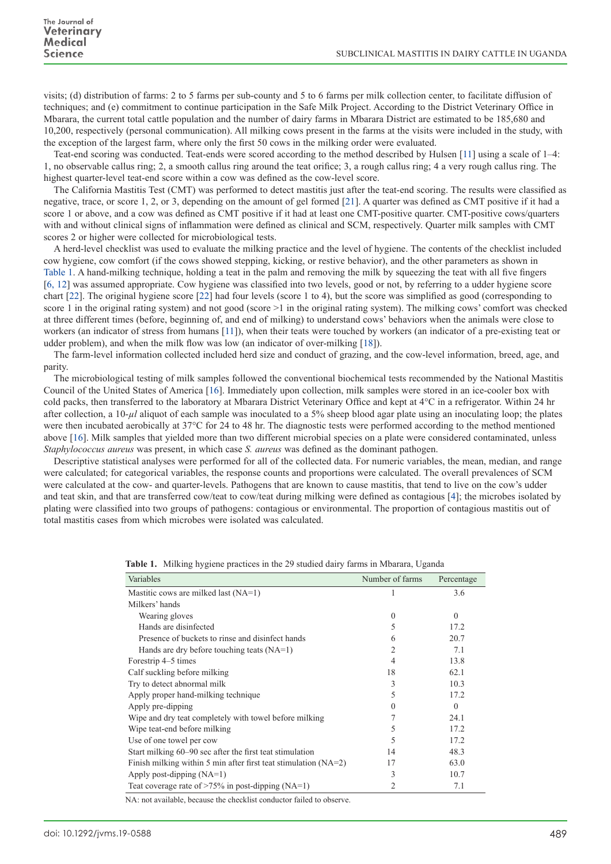visits; (d) distribution of farms: 2 to 5 farms per sub-county and 5 to 6 farms per milk collection center, to facilitate diffusion of techniques; and (e) commitment to continue participation in the Safe Milk Project. According to the District Veterinary Office in Mbarara, the current total cattle population and the number of dairy farms in Mbarara District are estimated to be 185,680 and 10,200, respectively (personal communication). All milking cows present in the farms at the visits were included in the study, with the exception of the largest farm, where only the first 50 cows in the milking order were evaluated.

Teat-end scoring was conducted. Teat-ends were scored according to the method described by Hulsen [\[11](#page-5-9)] using a scale of 1–4: 1, no observable callus ring; 2, a smooth callus ring around the teat orifice; 3, a rough callus ring; 4 a very rough callus ring. The highest quarter-level teat-end score within a cow was defined as the cow-level score.

The California Mastitis Test (CMT) was performed to detect mastitis just after the teat-end scoring. The results were classified as negative, trace, or score 1, 2, or 3, depending on the amount of gel formed [[21](#page-5-10)]. A quarter was defined as CMT positive if it had a score 1 or above, and a cow was defined as CMT positive if it had at least one CMT-positive quarter. CMT-positive cows/quarters with and without clinical signs of inflammation were defined as clinical and SCM, respectively. Quarter milk samples with CMT scores 2 or higher were collected for microbiological tests.

A herd-level checklist was used to evaluate the milking practice and the level of hygiene. The contents of the checklist included cow hygiene, cow comfort (if the cows showed stepping, kicking, or restive behavior), and the other parameters as shown in Table 1. A hand-milking technique, holding a teat in the palm and removing the milk by squeezing the teat with all five fingers [[6, 12](#page-5-11)] was assumed appropriate. Cow hygiene was classified into two levels, good or not, by referring to a udder hygiene score chart [[22](#page-5-12)]. The original hygiene score [\[22](#page-5-12)] had four levels (score 1 to 4), but the score was simplified as good (corresponding to score 1 in the original rating system) and not good (score >1 in the original rating system). The milking cows' comfort was checked at three different times (before, beginning of, and end of milking) to understand cows' behaviors when the animals were close to workers (an indicator of stress from humans [\[11](#page-5-9)]), when their teats were touched by workers (an indicator of a pre-existing teat or udder problem), and when the milk flow was low (an indicator of over-milking [[18\]](#page-5-13)).

The farm-level information collected included herd size and conduct of grazing, and the cow-level information, breed, age, and parity.

The microbiological testing of milk samples followed the conventional biochemical tests recommended by the National Mastitis Council of the United States of America [[16](#page-5-14)]. Immediately upon collection, milk samples were stored in an ice-cooler box with cold packs, then transferred to the laboratory at Mbarara District Veterinary Office and kept at 4°C in a refrigerator. Within 24 hr after collection, a  $10-\mu l$  aliquot of each sample was inoculated to a 5% sheep blood agar plate using an inoculating loop; the plates were then incubated aerobically at 37°C for 24 to 48 hr. The diagnostic tests were performed according to the method mentioned above [\[16\]](#page-5-14). Milk samples that yielded more than two different microbial species on a plate were considered contaminated, unless *Staphylococcus aureus* was present, in which case *S. aureus* was defined as the dominant pathogen.

Descriptive statistical analyses were performed for all of the collected data. For numeric variables, the mean, median, and range were calculated; for categorical variables, the response counts and proportions were calculated. The overall prevalences of SCM were calculated at the cow- and quarter-levels. Pathogens that are known to cause mastitis, that tend to live on the cow's udder and teat skin, and that are transferred cow/teat to cow/teat during milking were defined as contagious [[4](#page-5-1)]; the microbes isolated by plating were classified into two groups of pathogens: contagious or environmental. The proportion of contagious mastitis out of total mastitis cases from which microbes were isolated was calculated.

| Variables                                                                                                                                                                                                                                                                                 | Number of farms | Percentage |
|-------------------------------------------------------------------------------------------------------------------------------------------------------------------------------------------------------------------------------------------------------------------------------------------|-----------------|------------|
| Mastitic cows are milked last (NA=1)                                                                                                                                                                                                                                                      |                 | 3.6        |
| Milkers' hands                                                                                                                                                                                                                                                                            |                 |            |
| Wearing gloves                                                                                                                                                                                                                                                                            | $\Omega$        | $\theta$   |
| Hands are disinfected                                                                                                                                                                                                                                                                     |                 | 17.2       |
| Presence of buckets to rinse and disinfect hands                                                                                                                                                                                                                                          | 6               | 20.7       |
| Hands are dry before touching teats $(NA=1)$                                                                                                                                                                                                                                              | 2               | 7.1        |
| Forestrip 4–5 times                                                                                                                                                                                                                                                                       | 4               | 13.8       |
| Calf suckling before milking                                                                                                                                                                                                                                                              | 18              | 62.1       |
| Try to detect abnormal milk                                                                                                                                                                                                                                                               | 3               | 10.3       |
| Apply proper hand-milking technique                                                                                                                                                                                                                                                       | 5               | 17.2       |
| Apply pre-dipping                                                                                                                                                                                                                                                                         |                 | $\Omega$   |
| Wipe and dry teat completely with towel before milking                                                                                                                                                                                                                                    |                 | 24.1       |
| Wipe teat-end before milking                                                                                                                                                                                                                                                              |                 | 17.2       |
| Use of one towel per cow                                                                                                                                                                                                                                                                  | 5               | 17.2       |
| Start milking 60–90 sec after the first teat stimulation                                                                                                                                                                                                                                  | 14              | 48.3       |
| Finish milking within 5 min after first teat stimulation $(NA=2)$                                                                                                                                                                                                                         | 17              | 63.0       |
| Apply post-dipping $(NA=1)$                                                                                                                                                                                                                                                               | 3               | 10.7       |
| Teat coverage rate of $>75\%$ in post-dipping (NA=1)<br>$\mathbf{M}$ . The state of the state of the state of the state of the state of the state of the state of the state of the state of the state of the state of the state of the state of the state of the state of the state of th | 2               | 7.1        |

|  |  |  |  | Table 1. Milking hygiene practices in the 29 studied dairy farms in Mbarara, Uganda |  |
|--|--|--|--|-------------------------------------------------------------------------------------|--|
|--|--|--|--|-------------------------------------------------------------------------------------|--|

NA: not available, because the checklist conductor failed to observe.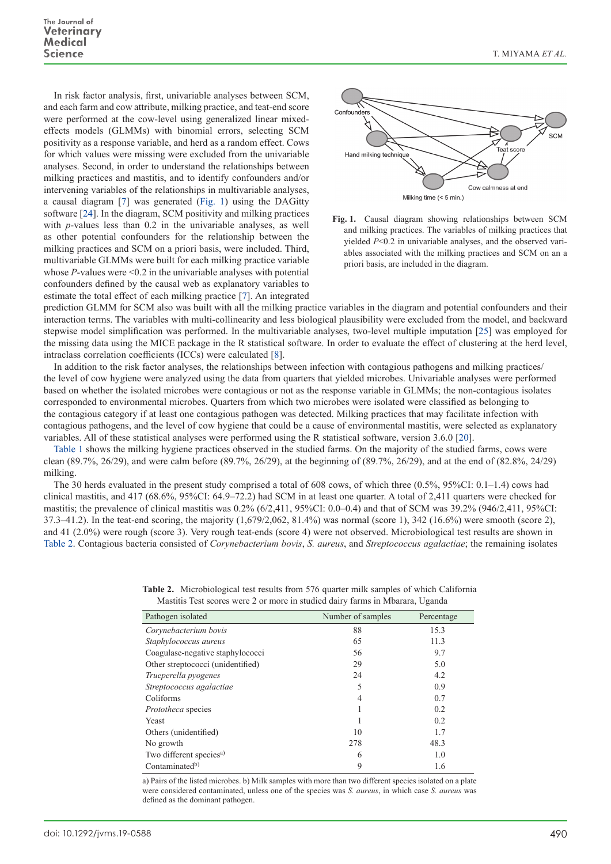In risk factor analysis, first, univariable analyses between SCM, and each farm and cow attribute, milking practice, and teat-end score were performed at the cow-level using generalized linear mixedeffects models (GLMMs) with binomial errors, selecting SCM positivity as a response variable, and herd as a random effect. Cows for which values were missing were excluded from the univariable analyses. Second, in order to understand the relationships between milking practices and mastitis, and to identify confounders and/or intervening variables of the relationships in multivariable analyses, a causal diagram [\[7](#page-5-15)] was generated (Fig. 1) using the DAGitty software [[24\]](#page-5-16). In the diagram, SCM positivity and milking practices with *p*-values less than 0.2 in the univariable analyses, as well as other potential confounders for the relationship between the milking practices and SCM on a priori basis, were included. Third, multivariable GLMMs were built for each milking practice variable whose  $P$ -values were  $\leq 0.2$  in the univariable analyses with potential confounders defined by the causal web as explanatory variables to estimate the total effect of each milking practice [[7\]](#page-5-15). An integrated



**Fig. 1.** Causal diagram showing relationships between SCM and milking practices. The variables of milking practices that yielded *P*<0.2 in univariable analyses, and the observed variables associated with the milking practices and SCM on an a priori basis, are included in the diagram.

prediction GLMM for SCM also was built with all the milking practice variables in the diagram and potential confounders and their interaction terms. The variables with multi-collinearity and less biological plausibility were excluded from the model, and backward stepwise model simplification was performed. In the multivariable analyses, two-level multiple imputation [[25](#page-5-17)] was employed for the missing data using the MICE package in the R statistical software. In order to evaluate the effect of clustering at the herd level, intraclass correlation coefficients (ICCs) were calculated [[8](#page-5-18)].

In addition to the risk factor analyses, the relationships between infection with contagious pathogens and milking practices/ the level of cow hygiene were analyzed using the data from quarters that yielded microbes. Univariable analyses were performed based on whether the isolated microbes were contagious or not as the response variable in GLMMs; the non-contagious isolates corresponded to environmental microbes. Quarters from which two microbes were isolated were classified as belonging to the contagious category if at least one contagious pathogen was detected. Milking practices that may facilitate infection with contagious pathogens, and the level of cow hygiene that could be a cause of environmental mastitis, were selected as explanatory variables. All of these statistical analyses were performed using the R statistical software, version 3.6.0 [\[20\]](#page-5-19).

Table 1 shows the milking hygiene practices observed in the studied farms. On the majority of the studied farms, cows were clean (89.7%, 26/29), and were calm before (89.7%, 26/29), at the beginning of (89.7%, 26/29), and at the end of (82.8%, 24/29) milking.

The 30 herds evaluated in the present study comprised a total of 608 cows, of which three (0.5%, 95%CI: 0.1–1.4) cows had clinical mastitis, and 417 (68.6%, 95%CI: 64.9–72.2) had SCM in at least one quarter. A total of 2,411 quarters were checked for mastitis; the prevalence of clinical mastitis was 0.2% (6/2,411, 95%CI: 0.0–0.4) and that of SCM was 39.2% (946/2,411, 95%CI: 37.3–41.2). In the teat-end scoring, the majority (1,679/2,062, 81.4%) was normal (score 1), 342 (16.6%) were smooth (score 2), and 41 (2.0%) were rough (score 3). Very rough teat-ends (score 4) were not observed. Microbiological test results are shown in Table 2. Contagious bacteria consisted of *Corynebacterium bovis*, *S. aureus*, and *Streptococcus agalactiae*; the remaining isolates

|  |                                                                               |  | <b>Table 2.</b> Microbiological test results from 576 quarter milk samples of which California |
|--|-------------------------------------------------------------------------------|--|------------------------------------------------------------------------------------------------|
|  | Mastitis Test scores were 2 or more in studied dairy farms in Mbarara, Uganda |  |                                                                                                |

| Pathogen isolated                   | Number of samples | Percentage |
|-------------------------------------|-------------------|------------|
| Corynebacterium bovis               | 88                | 15.3       |
| Staphylococcus aureus               | 65                | 11.3       |
| Coagulase-negative staphylococci    | 56                | 9.7        |
| Other streptococci (unidentified)   | 29                | 5.0        |
| Trueperella pyogenes                | 24                | 4.2        |
| Streptococcus agalactiae            | 5                 | 0.9        |
| Coliforms                           | 4                 | 0.7        |
| <i>Prototheca</i> species           |                   | 0.2        |
| Yeast                               |                   | 0.2        |
| Others (unidentified)               | 10                | 1.7        |
| No growth                           | 278               | 48.3       |
| Two different species <sup>a)</sup> | 6                 | 1.0        |
| Contaminated <sup>b)</sup>          | 9                 | 1.6        |

a) Pairs of the listed microbes. b) Milk samples with more than two different species isolated on a plate were considered contaminated, unless one of the species was *S. aureus*, in which case *S. aureus* was defined as the dominant pathogen.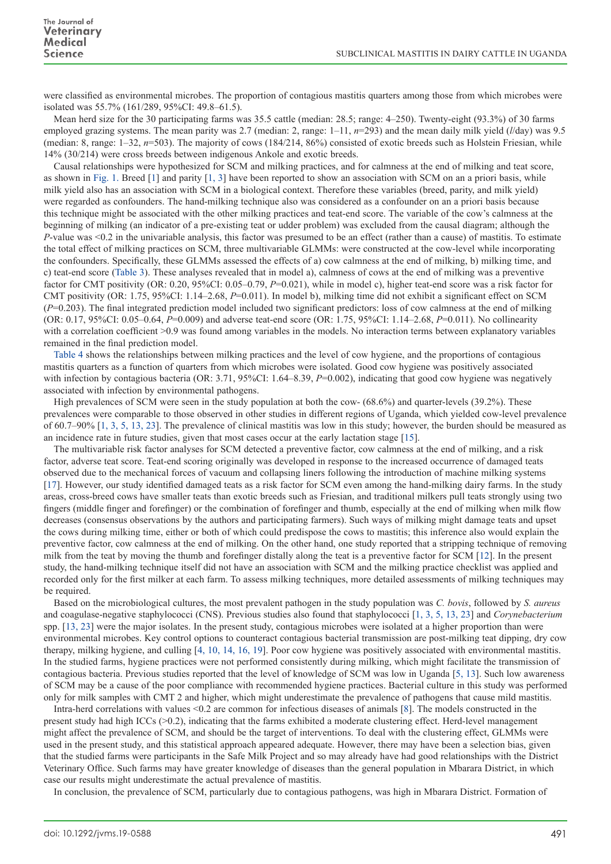were classified as environmental microbes. The proportion of contagious mastitis quarters among those from which microbes were isolated was 55.7% (161/289, 95%CI: 49.8–61.5).

Mean herd size for the 30 participating farms was 35.5 cattle (median: 28.5; range: 4–250). Twenty-eight (93.3%) of 30 farms employed grazing systems. The mean parity was 2.7 (median: 2, range: 1–11, *n*=293) and the mean daily milk yield (*l*/day) was 9.5 (median: 8, range: 1–32, *n*=503). The majority of cows (184/214, 86%) consisted of exotic breeds such as Holstein Friesian, while 14% (30/214) were cross breeds between indigenous Ankole and exotic breeds.

Causal relationships were hypothesized for SCM and milking practices, and for calmness at the end of milking and teat score, as shown in Fig. 1. Breed [\[1](#page-5-2)] and parity [[1, 3](#page-5-2)] have been reported to show an association with SCM on an a priori basis, while milk yield also has an association with SCM in a biological context. Therefore these variables (breed, parity, and milk yield) were regarded as confounders. The hand-milking technique also was considered as a confounder on an a priori basis because this technique might be associated with the other milking practices and teat-end score. The variable of the cow's calmness at the beginning of milking (an indicator of a pre-existing teat or udder problem) was excluded from the causal diagram; although the *P*-value was <0.2 in the univariable analysis, this factor was presumed to be an effect (rather than a cause) of mastitis. To estimate the total effect of milking practices on SCM, three multivariable GLMMs: were constructed at the cow-level while incorporating the confounders. Specifically, these GLMMs assessed the effects of a) cow calmness at the end of milking, b) milking time, and c) teat-end score (Table 3). These analyses revealed that in model a), calmness of cows at the end of milking was a preventive factor for CMT positivity (OR: 0.20, 95%CI: 0.05–0.79, *P*=0.021), while in model c), higher teat-end score was a risk factor for CMT positivity (OR: 1.75, 95%CI: 1.14–2.68, *P*=0.011). In model b), milking time did not exhibit a significant effect on SCM (*P*=0.203). The final integrated prediction model included two significant predictors: loss of cow calmness at the end of milking (OR: 0.17, 95%CI: 0.05–0.64, *P*=0.009) and adverse teat-end score (OR: 1.75, 95%CI: 1.14–2.68, *P*=0.011). No collinearity with a correlation coefficient >0.9 was found among variables in the models. No interaction terms between explanatory variables remained in the final prediction model.

Table 4 shows the relationships between milking practices and the level of cow hygiene, and the proportions of contagious mastitis quarters as a function of quarters from which microbes were isolated. Good cow hygiene was positively associated with infection by contagious bacteria (OR: 3.71, 95%CI: 1.64–8.39, P=0.002), indicating that good cow hygiene was negatively associated with infection by environmental pathogens.

High prevalences of SCM were seen in the study population at both the cow- (68.6%) and quarter-levels (39.2%). These prevalences were comparable to those observed in other studies in different regions of Uganda, which yielded cow-level prevalence of 60.7–90% [\[1, 3, 5, 13, 23\]](#page-5-2). The prevalence of clinical mastitis was low in this study; however, the burden should be measured as an incidence rate in future studies, given that most cases occur at the early lactation stage [\[15\]](#page-5-20).

The multivariable risk factor analyses for SCM detected a preventive factor, cow calmness at the end of milking, and a risk factor, adverse teat score. Teat-end scoring originally was developed in response to the increased occurrence of damaged teats observed due to the mechanical forces of vacuum and collapsing liners following the introduction of machine milking systems [[17](#page-5-21)]. However, our study identified damaged teats as a risk factor for SCM even among the hand-milking dairy farms. In the study areas, cross-breed cows have smaller teats than exotic breeds such as Friesian, and traditional milkers pull teats strongly using two fingers (middle finger and forefinger) or the combination of forefinger and thumb, especially at the end of milking when milk flow decreases (consensus observations by the authors and participating farmers). Such ways of milking might damage teats and upset the cows during milking time, either or both of which could predispose the cows to mastitis; this inference also would explain the preventive factor, cow calmness at the end of milking. On the other hand, one study reported that a stripping technique of removing milk from the teat by moving the thumb and forefinger distally along the teat is a preventive factor for SCM [[12\]](#page-5-7). In the present study, the hand-milking technique itself did not have an association with SCM and the milking practice checklist was applied and recorded only for the first milker at each farm. To assess milking techniques, more detailed assessments of milking techniques may be required.

Based on the microbiological cultures, the most prevalent pathogen in the study population was *C. bovis*, followed by *S. aureus* and coagulase-negative staphylococci (CNS). Previous studies also found that staphylococci [[1, 3, 5, 13, 23\]](#page-5-2) and *Corynebacterium* spp. [\[13, 23](#page-5-4)] were the major isolates. In the present study, contagious microbes were isolated at a higher proportion than were environmental microbes. Key control options to counteract contagious bacterial transmission are post-milking teat dipping, dry cow therapy, milking hygiene, and culling [[4, 10, 14, 16, 19\]](#page-5-1). Poor cow hygiene was positively associated with environmental mastitis. In the studied farms, hygiene practices were not performed consistently during milking, which might facilitate the transmission of contagious bacteria. Previous studies reported that the level of knowledge of SCM was low in Uganda [\[5, 13\]](#page-5-5). Such low awareness of SCM may be a cause of the poor compliance with recommended hygiene practices. Bacterial culture in this study was performed only for milk samples with CMT 2 and higher, which might underestimate the prevalence of pathogens that cause mild mastitis.

Intra-herd correlations with values <0.2 are common for infectious diseases of animals [[8](#page-5-18)]. The models constructed in the present study had high ICCs (>0.2), indicating that the farms exhibited a moderate clustering effect. Herd-level management might affect the prevalence of SCM, and should be the target of interventions. To deal with the clustering effect, GLMMs were used in the present study, and this statistical approach appeared adequate. However, there may have been a selection bias, given that the studied farms were participants in the Safe Milk Project and so may already have had good relationships with the District Veterinary Office. Such farms may have greater knowledge of diseases than the general population in Mbarara District, in which case our results might underestimate the actual prevalence of mastitis.

In conclusion, the prevalence of SCM, particularly due to contagious pathogens, was high in Mbarara District. Formation of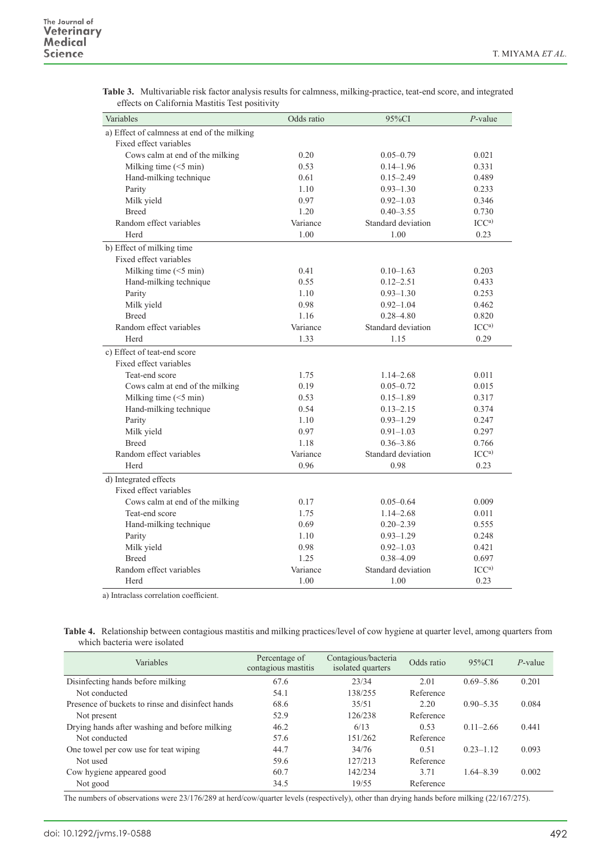| Variables                                   | Odds ratio | 95%CI              | $P$ -value       |
|---------------------------------------------|------------|--------------------|------------------|
| a) Effect of calmness at end of the milking |            |                    |                  |
| Fixed effect variables                      |            |                    |                  |
| Cows calm at end of the milking             | 0.20       | $0.05 - 0.79$      | 0.021            |
| Milking time (<5 min)                       | 0.53       | $0.14 - 1.96$      | 0.331            |
| Hand-milking technique                      | 0.61       | $0.15 - 2.49$      | 0.489            |
| Parity                                      | 1.10       | $0.93 - 1.30$      | 0.233            |
| Milk yield                                  | 0.97       | $0.92 - 1.03$      | 0.346            |
| <b>Breed</b>                                | 1.20       | $0.40 - 3.55$      | 0.730            |
| Random effect variables                     | Variance   | Standard deviation | ICC <sup>a</sup> |
| Herd                                        | 1.00       | 1.00               | 0.23             |
| b) Effect of milking time                   |            |                    |                  |
| Fixed effect variables                      |            |                    |                  |
| Milking time $(<5$ min)                     | 0.41       | $0.10 - 1.63$      | 0.203            |
| Hand-milking technique                      | 0.55       | $0.12 - 2.51$      | 0.433            |
| Parity                                      | 1.10       | $0.93 - 1.30$      | 0.253            |
| Milk yield                                  | 0.98       | $0.92 - 1.04$      | 0.462            |
| <b>Breed</b>                                | 1.16       | $0.28 - 4.80$      | 0.820            |
| Random effect variables                     | Variance   | Standard deviation | ICC <sup>a</sup> |
| Herd                                        | 1.33       | 1.15               | 0.29             |
| c) Effect of teat-end score                 |            |                    |                  |
| Fixed effect variables                      |            |                    |                  |
| Teat-end score                              | 1.75       | $1.14 - 2.68$      | 0.011            |
| Cows calm at end of the milking             | 0.19       | $0.05 - 0.72$      | 0.015            |
| Milking time $(<5$ min)                     | 0.53       | $0.15 - 1.89$      | 0.317            |
| Hand-milking technique                      | 0.54       | $0.13 - 2.15$      | 0.374            |
| Parity                                      | 1.10       | $0.93 - 1.29$      | 0.247            |
| Milk yield                                  | 0.97       | $0.91 - 1.03$      | 0.297            |
| <b>Breed</b>                                | 1.18       | $0.36 - 3.86$      | 0.766            |
| Random effect variables                     | Variance   | Standard deviation | ICC <sup>a</sup> |
| Herd                                        | 0.96       | 0.98               | 0.23             |
| d) Integrated effects                       |            |                    |                  |
| Fixed effect variables                      |            |                    |                  |
| Cows calm at end of the milking             | 0.17       | $0.05 - 0.64$      | 0.009            |
| Teat-end score                              | 1.75       | $1.14 - 2.68$      | 0.011            |
| Hand-milking technique                      | 0.69       | $0.20 - 2.39$      | 0.555            |
| Parity                                      | 1.10       | $0.93 - 1.29$      | 0.248            |
| Milk yield                                  | 0.98       | $0.92 - 1.03$      | 0.421            |
| <b>Breed</b>                                | 1.25       | $0.38 - 4.09$      | 0.697            |
| Random effect variables                     | Variance   | Standard deviation | ICC <sup>a</sup> |
| Herd                                        | 1.00       | 1.00               | 0.23             |

**Table 3.** Multivariable risk factor analysis results for calmness, milking-practice, teat-end score, and integrated effects on California Mastitis Test positivity

a) Intraclass correlation coefficient.

| Table 4. Relationship between contagious mastitis and milking practices/level of cow hygiene at quarter level, among quarters from |  |
|------------------------------------------------------------------------------------------------------------------------------------|--|
| which bacteria were isolated                                                                                                       |  |

| Variables                                        | Percentage of<br>contagious mastitis | Contagious/bacteria<br>isolated quarters | Odds ratio | $95\%CI$      | $P$ -value |
|--------------------------------------------------|--------------------------------------|------------------------------------------|------------|---------------|------------|
| Disinfecting hands before milking                | 67.6                                 | 23/34                                    | 2.01       | $0.69 - 5.86$ | 0.201      |
| Not conducted                                    | 54.1                                 | 138/255                                  | Reference  |               |            |
| Presence of buckets to rinse and disinfect hands | 68.6                                 | 35/51                                    | 2.20       | $0.90 - 5.35$ | 0.084      |
| Not present                                      | 52.9                                 | 126/238                                  | Reference  |               |            |
| Drying hands after washing and before milking    | 46.2                                 | 6/13                                     | 0.53       | $0.11 - 2.66$ | 0.441      |
| Not conducted                                    | 57.6                                 | 151/262                                  | Reference  |               |            |
| One towel per cow use for teat wiping            | 44.7                                 | 34/76                                    | 0.51       | $0.23 - 1.12$ | 0.093      |
| Not used                                         | 59.6                                 | 127/213                                  | Reference  |               |            |
| Cow hygiene appeared good                        | 60.7                                 | 142/234                                  | 3.71       | $1.64 - 8.39$ | 0.002      |
| Not good                                         | 34.5                                 | 19/55                                    | Reference  |               |            |

The numbers of observations were 23/176/289 at herd/cow/quarter levels (respectively), other than drying hands before milking (22/167/275).